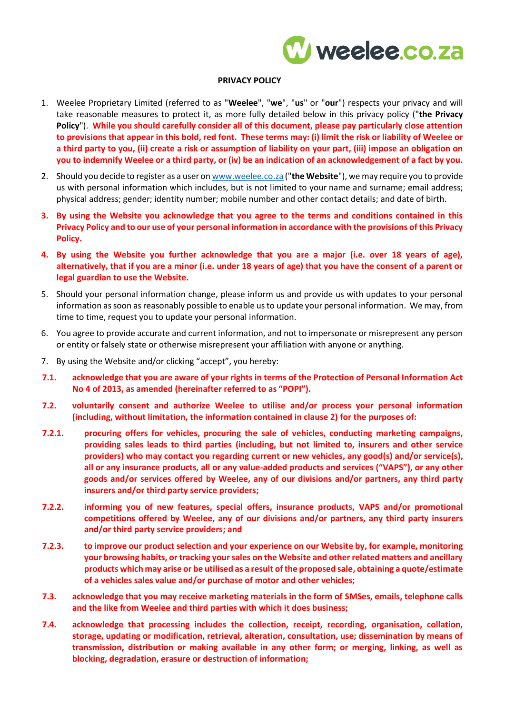

## **PRIVACY POLICY**

- 1. Weelee Proprietary Limited (referred to as "**Weelee**", "**we**", "**us**" or "**our**") respects your privacy and will take reasonable measures to protect it, as more fully detailed below in this privacy policy ("**the Privacy Policy**"). **While you should carefully consider all of this document, please pay particularly close attention to provisions that appear in this bold, red font. These terms may: (i) limit the risk or liability of Weelee or a third party to you, (ii) create a risk or assumption of liability on your part, (iii) impose an obligation on you to indemnify Weelee or a third party, or (iv) be an indication of an acknowledgement of a fact by you.**
- 2. Should you decide to register as a user o[n www.weelee.co.za](http://www.weelee.co.za/) ("**the Website**"), we may require you to provide us with personal information which includes, but is not limited to your name and surname; email address; physical address; gender; identity number; mobile number and other contact details; and date of birth.
- **3. By using the Website you acknowledge that you agree to the terms and conditions contained in this Privacy Policy and to our use of your personal information in accordance with the provisions of this Privacy Policy.**
- **4. By using the Website you further acknowledge that you are a major (i.e. over 18 years of age), alternatively, that if you are a minor (i.e. under 18 years of age) that you have the consent of a parent or legal guardian to use the Website.**
- 5. Should your personal information change, please inform us and provide us with updates to your personal information as soon as reasonably possible to enable us to update your personal information. We may, from time to time, request you to update your personal information.
- 6. You agree to provide accurate and current information, and not to impersonate or misrepresent any person or entity or falsely state or otherwise misrepresent your affiliation with anyone or anything.
- 7. By using the Website and/or clicking "accept", you hereby:
- **7.1. acknowledge that you are aware of your rights in terms of the Protection of Personal Information Act No 4 of 2013, as amended (hereinafter referred to as "POPI").**
- **7.2. voluntarily consent and authorize Weelee to utilise and/or process your personal information (including, without limitation, the information contained in clause 2) for the purposes of:**
- **7.2.1. procuring offers for vehicles, procuring the sale of vehicles, conducting marketing campaigns, providing sales leads to third parties (including, but not limited to, insurers and other service providers) who may contact you regarding current or new vehicles, any good(s) and/or service(s), all or any insurance products, all or any value-added products and services ("VAPS"), or any other goods and/or services offered by Weelee, any of our divisions and/or partners, any third party insurers and/or third party service providers;**
- **7.2.2. informing you of new features, special offers, insurance products, VAPS and/or promotional competitions offered by Weelee, any of our divisions and/or partners, any third party insurers and/or third party service providers; and**
- **7.2.3. to improve our product selection and your experience on our Website by, for example, monitoring your browsing habits, or tracking your sales on the Website and other related matters and ancillary products which may arise or be utilised as a result of the proposed sale, obtaining a quote/estimate of a vehicles sales value and/or purchase of motor and other vehicles;**
- **7.3. acknowledge that you may receive marketing materials in the form of SMSes, emails, telephone calls and the like from Weelee and third parties with which it does business;**
- **7.4. acknowledge that processing includes the collection, receipt, recording, organisation, collation, storage, updating or modification, retrieval, alteration, consultation, use; dissemination by means of transmission, distribution or making available in any other form; or merging, linking, as well as blocking, degradation, erasure or destruction of information;**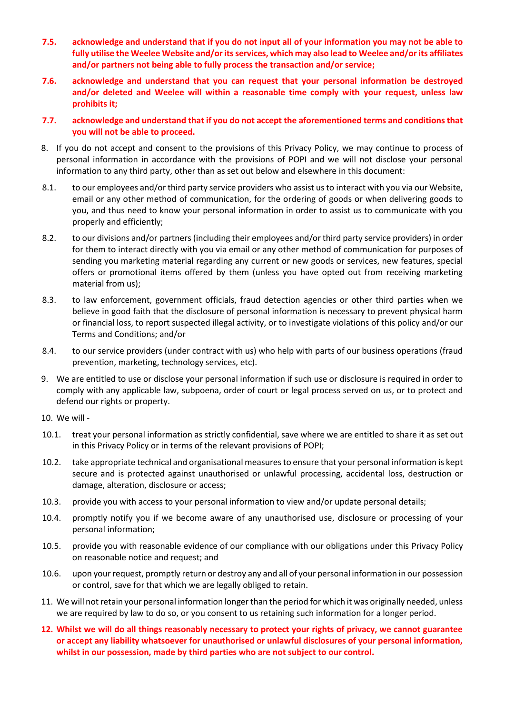- **7.5. acknowledge and understand that if you do not input all of your information you may not be able to fully utilise the Weelee Website and/or its services, which may also lead to Weelee and/or its affiliates and/or partners not being able to fully process the transaction and/or service;**
- **7.6. acknowledge and understand that you can request that your personal information be destroyed and/or deleted and Weelee will within a reasonable time comply with your request, unless law prohibits it;**
- **7.7. acknowledge and understand that if you do not accept the aforementioned terms and conditions that you will not be able to proceed.**
- 8. If you do not accept and consent to the provisions of this Privacy Policy, we may continue to process of personal information in accordance with the provisions of POPI and we will not disclose your personal information to any third party, other than as set out below and elsewhere in this document:
- 8.1. to our employees and/or third party service providers who assist us to interact with you via our Website, email or any other method of communication, for the ordering of goods or when delivering goods to you, and thus need to know your personal information in order to assist us to communicate with you properly and efficiently;
- 8.2. to our divisions and/or partners (including their employees and/or third party service providers) in order for them to interact directly with you via email or any other method of communication for purposes of sending you marketing material regarding any current or new goods or services, new features, special offers or promotional items offered by them (unless you have opted out from receiving marketing material from us);
- 8.3. to law enforcement, government officials, fraud detection agencies or other third parties when we believe in good faith that the disclosure of personal information is necessary to prevent physical harm or financial loss, to report suspected illegal activity, or to investigate violations of this policy and/or our Terms and Conditions; and/or
- 8.4. to our service providers (under contract with us) who help with parts of our business operations (fraud prevention, marketing, technology services, etc).
- 9. We are entitled to use or disclose your personal information if such use or disclosure is required in order to comply with any applicable law, subpoena, order of court or legal process served on us, or to protect and defend our rights or property.
- 10. We will -
- 10.1. treat your personal information as strictly confidential, save where we are entitled to share it as set out in this Privacy Policy or in terms of the relevant provisions of POPI;
- 10.2. take appropriate technical and organisational measures to ensure that your personal information is kept secure and is protected against unauthorised or unlawful processing, accidental loss, destruction or damage, alteration, disclosure or access;
- 10.3. provide you with access to your personal information to view and/or update personal details;
- 10.4. promptly notify you if we become aware of any unauthorised use, disclosure or processing of your personal information;
- 10.5. provide you with reasonable evidence of our compliance with our obligations under this Privacy Policy on reasonable notice and request; and
- 10.6. upon your request, promptly return or destroy any and all of your personal information in our possession or control, save for that which we are legally obliged to retain.
- 11. We will not retain your personal information longer than the period for which it was originally needed, unless we are required by law to do so, or you consent to us retaining such information for a longer period.
- **12. Whilst we will do all things reasonably necessary to protect your rights of privacy, we cannot guarantee or accept any liability whatsoever for unauthorised or unlawful disclosures of your personal information, whilst in our possession, made by third parties who are not subject to our control.**